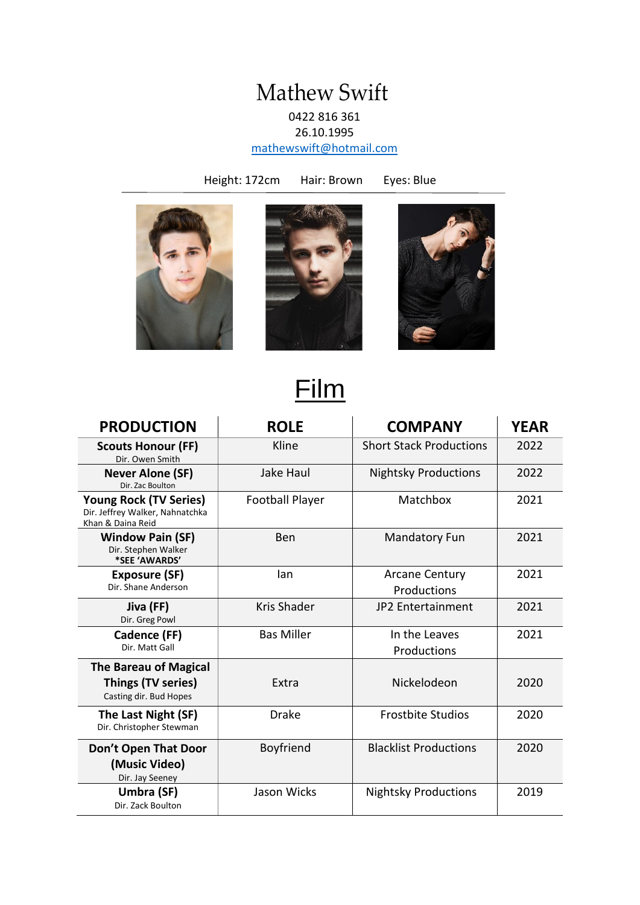#### Mathew Swift 0422 816 361 26.10.1995

[mathewswift@hotmail.com](mailto:mathewswift@hotmail.com)

Height: 172cm Hair: Brown Eyes: Blue







# Film

| <b>PRODUCTION</b>                                                                     | <b>ROLE</b>            | <b>COMPANY</b>                       | <b>YEAR</b> |
|---------------------------------------------------------------------------------------|------------------------|--------------------------------------|-------------|
| <b>Scouts Honour (FF)</b><br>Dir. Owen Smith                                          | Kline                  | <b>Short Stack Productions</b>       | 2022        |
| <b>Never Alone (SF)</b><br>Dir. Zac Boulton                                           | Jake Haul              | <b>Nightsky Productions</b>          | 2022        |
| <b>Young Rock (TV Series)</b><br>Dir. Jeffrey Walker, Nahnatchka<br>Khan & Daina Reid | <b>Football Player</b> | Matchbox                             | 2021        |
| <b>Window Pain (SF)</b><br>Dir. Stephen Walker<br>*SEE 'AWARDS'                       | <b>Ben</b>             | <b>Mandatory Fun</b>                 | 2021        |
| <b>Exposure (SF)</b><br>Dir. Shane Anderson                                           | lan                    | <b>Arcane Century</b><br>Productions | 2021        |
| Jiva (FF)<br>Dir. Greg Powl                                                           | Kris Shader            | 2021<br><b>JP2 Entertainment</b>     |             |
| Cadence (FF)<br>Dir. Matt Gall                                                        | <b>Bas Miller</b>      | 2021<br>In the Leaves<br>Productions |             |
| <b>The Bareau of Magical</b><br>Things (TV series)<br>Casting dir. Bud Hopes          | Extra                  | Nickelodeon                          | 2020        |
| The Last Night (SF)<br>Dir. Christopher Stewman                                       | <b>Drake</b>           | <b>Frostbite Studios</b><br>2020     |             |
| Don't Open That Door<br>(Music Video)<br>Dir. Jay Seeney                              | Boyfriend              | <b>Blacklist Productions</b>         | 2020        |
| Umbra (SF)<br>Dir. Zack Boulton                                                       | Jason Wicks            | 2019<br><b>Nightsky Productions</b>  |             |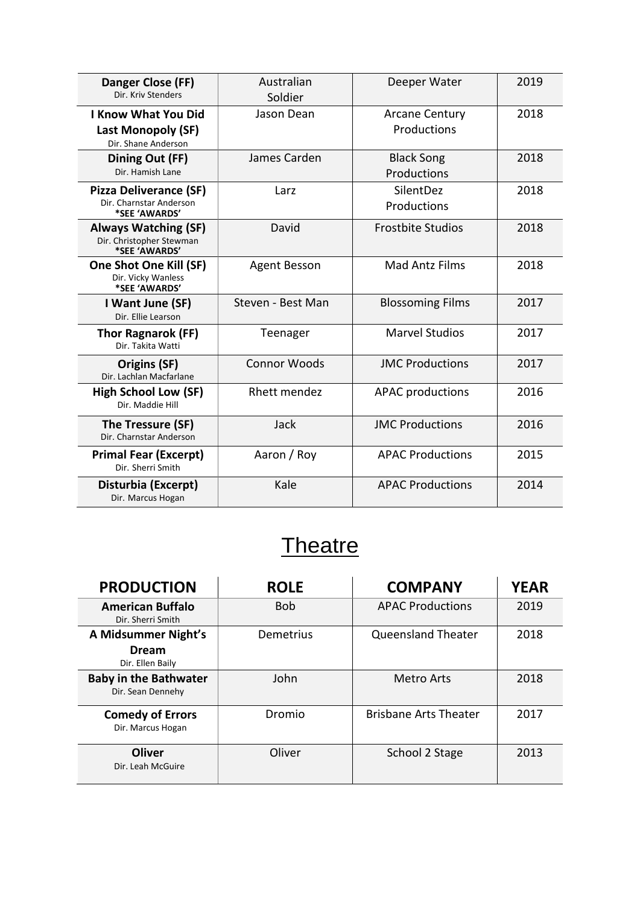| Danger Close (FF)<br>Dir. Kriv Stenders                                   | Australian<br>Soldier | Deeper Water                         | 2019 |
|---------------------------------------------------------------------------|-----------------------|--------------------------------------|------|
| <b>I Know What You Did</b><br>Last Monopoly (SF)<br>Dir. Shane Anderson   | Jason Dean            | <b>Arcane Century</b><br>Productions | 2018 |
| Dining Out (FF)<br>Dir. Hamish Lane                                       | James Carden          | <b>Black Song</b><br>Productions     | 2018 |
| <b>Pizza Deliverance (SF)</b><br>Dir. Charnstar Anderson<br>*SEE 'AWARDS' | Larz                  | SilentDez<br>Productions             | 2018 |
| <b>Always Watching (SF)</b><br>Dir. Christopher Stewman<br>*SEE 'AWARDS'  | David                 | <b>Frostbite Studios</b>             | 2018 |
| One Shot One Kill (SF)<br>Dir. Vicky Wanless<br>*SEE 'AWARDS'             | <b>Agent Besson</b>   | <b>Mad Antz Films</b>                | 2018 |
| I Want June (SF)<br>Dir. Ellie Learson                                    | Steven - Best Man     | <b>Blossoming Films</b>              | 2017 |
| <b>Thor Ragnarok (FF)</b><br>Dir. Takita Watti                            | Teenager              | <b>Marvel Studios</b>                | 2017 |
| Origins (SF)<br>Dir. Lachlan Macfarlane                                   | Connor Woods          | <b>JMC Productions</b>               | 2017 |
| <b>High School Low (SF)</b><br>Dir. Maddie Hill                           | Rhett mendez          | <b>APAC productions</b>              | 2016 |
| The Tressure (SF)<br>Dir. Charnstar Anderson                              | Jack                  | <b>JMC Productions</b>               | 2016 |
| <b>Primal Fear (Excerpt)</b><br>Dir. Sherri Smith                         | Aaron / Roy           | <b>APAC Productions</b>              | 2015 |
| Disturbia (Excerpt)<br>Dir. Marcus Hogan                                  | Kale                  | <b>APAC Productions</b><br>2014      |      |

## **Theatre**

| <b>PRODUCTION</b>                                 | <b>ROLE</b> | <b>COMPANY</b>               | <b>YEAR</b> |
|---------------------------------------------------|-------------|------------------------------|-------------|
| <b>American Buffalo</b><br>Dir. Sherri Smith      | <b>Bob</b>  | <b>APAC Productions</b>      | 2019        |
| A Midsummer Night's                               | Demetrius   | <b>Queensland Theater</b>    | 2018        |
| <b>Dream</b><br>Dir. Ellen Baily                  |             |                              |             |
| <b>Baby in the Bathwater</b><br>Dir. Sean Dennehy | John        | Metro Arts                   | 2018        |
| <b>Comedy of Errors</b><br>Dir. Marcus Hogan      | Dromio      | <b>Brisbane Arts Theater</b> | 2017        |
| <b>Oliver</b><br>Dir. Leah McGuire                | Oliver      | School 2 Stage<br>2013       |             |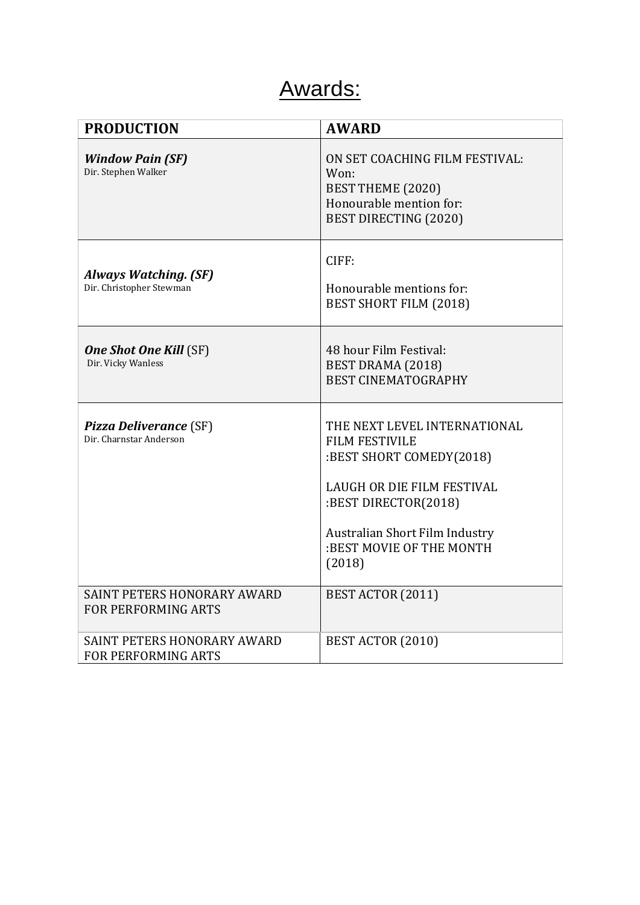## Awards:

| <b>PRODUCTION</b>                                                | <b>AWARD</b>                                                                                                                                                                                                    |
|------------------------------------------------------------------|-----------------------------------------------------------------------------------------------------------------------------------------------------------------------------------------------------------------|
| <b>Window Pain (SF)</b><br>Dir. Stephen Walker                   | ON SET COACHING FILM FESTIVAL:<br>Won:<br>BEST THEME (2020)<br>Honourable mention for:<br>BEST DIRECTING (2020)                                                                                                 |
| Always Watching. (SF)<br>Dir. Christopher Stewman                | CIFF:<br>Honourable mentions for:<br><b>BEST SHORT FILM (2018)</b>                                                                                                                                              |
| <b>One Shot One Kill (SF)</b><br>Dir. Vicky Wanless              | 48 hour Film Festival:<br>BEST DRAMA (2018)<br><b>BEST CINEMATOGRAPHY</b>                                                                                                                                       |
| <b>Pizza Deliverance (SF)</b><br>Dir. Charnstar Anderson         | THE NEXT LEVEL INTERNATIONAL<br><b>FILM FESTIVILE</b><br>:BEST SHORT COMEDY(2018)<br>LAUGH OR DIE FILM FESTIVAL<br>:BEST DIRECTOR(2018)<br>Australian Short Film Industry<br>:BEST MOVIE OF THE MONTH<br>(2018) |
| <b>SAINT PETERS HONORARY AWARD</b><br><b>FOR PERFORMING ARTS</b> | BEST ACTOR (2011)                                                                                                                                                                                               |
| SAINT PETERS HONORARY AWARD<br>FOR PERFORMING ARTS               | BEST ACTOR (2010)                                                                                                                                                                                               |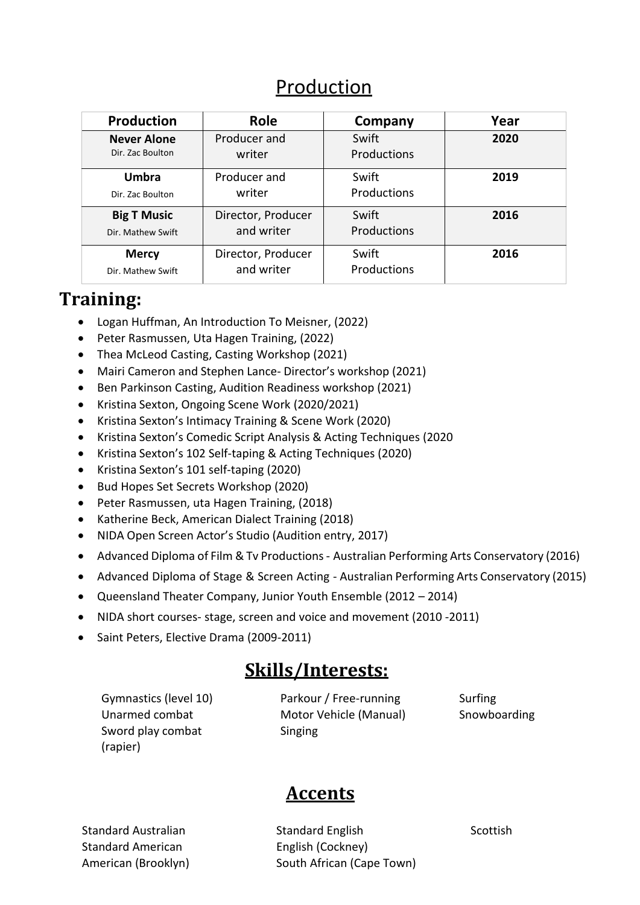#### Production

| <b>Production</b>  | <b>Role</b>        | Company            | Year |
|--------------------|--------------------|--------------------|------|
| <b>Never Alone</b> | Producer and       | Swift              | 2020 |
| Dir. Zac Boulton   | writer             | <b>Productions</b> |      |
| <b>Umbra</b>       | Producer and       | Swift              | 2019 |
| Dir. Zac Boulton   | writer             | Productions        |      |
| <b>Big T Music</b> | Director, Producer | Swift              | 2016 |
| Dir. Mathew Swift  | and writer         | Productions        |      |
| <b>Mercy</b>       | Director, Producer | Swift              | 2016 |
| Dir. Mathew Swift  | and writer         | Productions        |      |

#### **Training:**

- Logan Huffman, An Introduction To Meisner, (2022)
- Peter Rasmussen, Uta Hagen Training, (2022)
- Thea McLeod Casting, Casting Workshop (2021)
- Mairi Cameron and Stephen Lance- Director's workshop (2021)
- Ben Parkinson Casting, Audition Readiness workshop (2021)
- Kristina Sexton, Ongoing Scene Work (2020/2021)
- Kristina Sexton's Intimacy Training & Scene Work (2020)
- Kristina Sexton's Comedic Script Analysis & Acting Techniques (2020
- Kristina Sexton's 102 Self-taping & Acting Techniques (2020)
- Kristina Sexton's 101 self-taping (2020)
- Bud Hopes Set Secrets Workshop (2020)
- Peter Rasmussen, uta Hagen Training, (2018)
- Katherine Beck, American Dialect Training (2018)
- NIDA Open Screen Actor's Studio (Audition entry, 2017)
- Advanced Diploma of Film & Tv Productions Australian Performing Arts Conservatory (2016)
- Advanced Diploma of Stage & Screen Acting Australian Performing Arts Conservatory (2015)
- Queensland Theater Company, Junior Youth Ensemble (2012 2014)
- NIDA short courses- stage, screen and voice and movement (2010 -2011)
- Saint Peters, Elective Drama (2009-2011)

#### **Skills/Interests:**

Gymnastics (level 10) Unarmed combat Sword play combat (rapier)

Parkour / Free-running Motor Vehicle (Manual) Singing

Surfing Snowboarding

### **Accents**

Standard Australian Standard American American (Brooklyn) Standard English English (Cockney) South African (Cape Town) **Scottish**